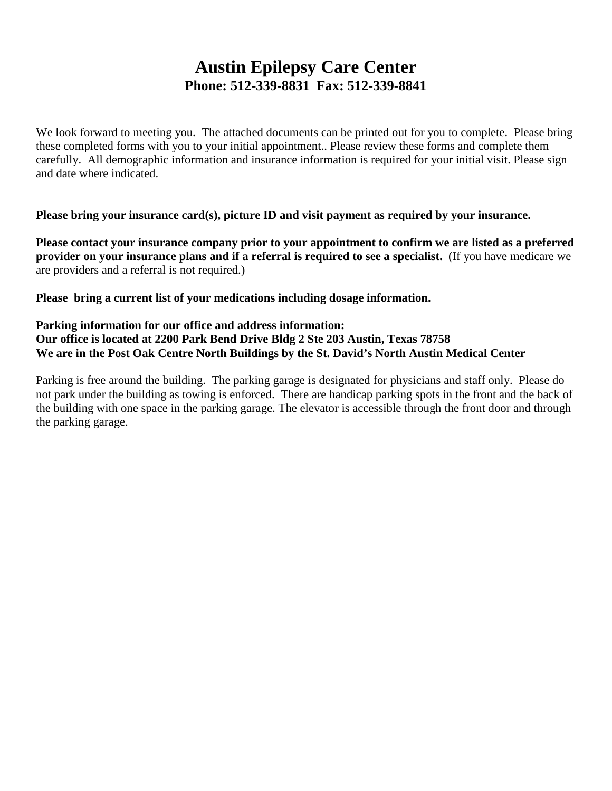### **Austin Epilepsy Care Center Phone: 512-339-8831 Fax: 512-339-8841**

We look forward to meeting you. The attached documents can be printed out for you to complete. Please bring these completed forms with you to your initial appointment.. Please review these forms and complete them carefully. All demographic information and insurance information is required for your initial visit. Please sign and date where indicated.

**Please bring your insurance card(s), picture ID and visit payment as required by your insurance.** 

**Please contact your insurance company prior to your appointment to confirm we are listed as a preferred provider on your insurance plans and if a referral is required to see a specialist.** (If you have medicare we are providers and a referral is not required.)

**Please bring a current list of your medications including dosage information.** 

#### **Parking information for our office and address information: Our office is located at 2200 Park Bend Drive Bldg 2 Ste 203 Austin, Texas 78758 We are in the Post Oak Centre North Buildings by the St. David's North Austin Medical Center**

Parking is free around the building. The parking garage is designated for physicians and staff only. Please do not park under the building as towing is enforced. There are handicap parking spots in the front and the back of the building with one space in the parking garage. The elevator is accessible through the front door and through the parking garage.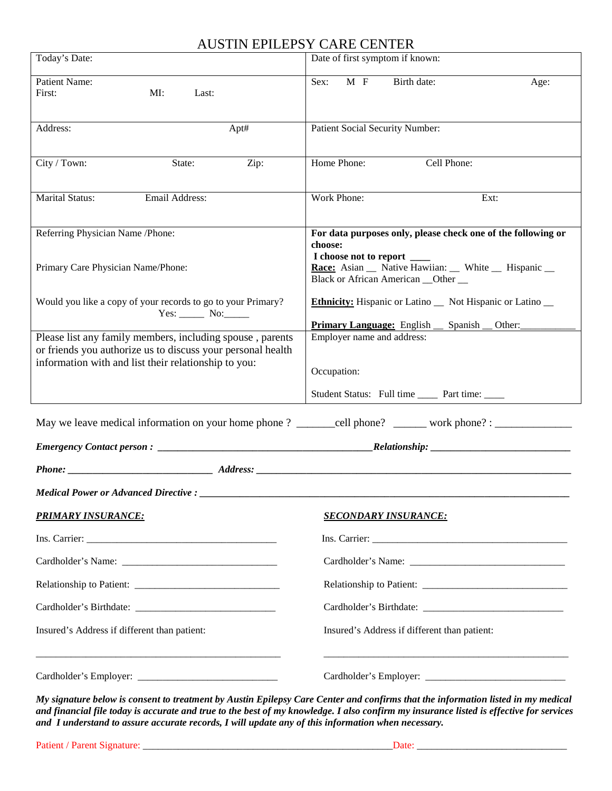#### AUSTIN EPILEPSY CARE CENTER

| Today's Date:                                                                                                                                                                                                                  | Date of first symptom if known:                                                                                                                                                                          |  |  |  |  |  |  |
|--------------------------------------------------------------------------------------------------------------------------------------------------------------------------------------------------------------------------------|----------------------------------------------------------------------------------------------------------------------------------------------------------------------------------------------------------|--|--|--|--|--|--|
| Patient Name:<br>First:<br>MI:<br>Last:                                                                                                                                                                                        | $M$ F<br>Birth date:<br>Sex:<br>Age:                                                                                                                                                                     |  |  |  |  |  |  |
| Apt#<br>Address:                                                                                                                                                                                                               | Patient Social Security Number:                                                                                                                                                                          |  |  |  |  |  |  |
| City / Town:<br>Zip:<br>State:                                                                                                                                                                                                 | Home Phone:<br>Cell Phone:                                                                                                                                                                               |  |  |  |  |  |  |
| <b>Marital Status:</b><br>Email Address:                                                                                                                                                                                       | Work Phone:<br>Ext:                                                                                                                                                                                      |  |  |  |  |  |  |
| Referring Physician Name /Phone:<br>Primary Care Physician Name/Phone:                                                                                                                                                         | For data purposes only, please check one of the following or<br>choose:<br>I choose not to report ____<br>Race: Asian __ Native Hawiian: __ White __ Hispanic __<br>Black or African American __Other __ |  |  |  |  |  |  |
| Would you like a copy of your records to go to your Primary?<br>$Yes:$ No:                                                                                                                                                     | <b>Ethnicity:</b> Hispanic or Latino _ Not Hispanic or Latino _<br><b>Primary Language:</b> English _ Spanish _ Other:                                                                                   |  |  |  |  |  |  |
| Please list any family members, including spouse, parents<br>or friends you authorize us to discuss your personal health<br>information with and list their relationship to you:                                               | Employer name and address:<br>Occupation:<br>Student Status: Full time _______ Part time: _____                                                                                                          |  |  |  |  |  |  |
| May we leave medical information on your home phone? ______cell phone? ______ work phone? : ______________                                                                                                                     |                                                                                                                                                                                                          |  |  |  |  |  |  |
|                                                                                                                                                                                                                                |                                                                                                                                                                                                          |  |  |  |  |  |  |
| Phone: Address: Address: Address: Address: Address: Address: Address: Address: Address: Address: Address: Address: Address: Address: Address: Address: Address: Address: Address: Address: Address: Address: Address: Address: |                                                                                                                                                                                                          |  |  |  |  |  |  |
| Medical Power or Advanced Directive : __________                                                                                                                                                                               |                                                                                                                                                                                                          |  |  |  |  |  |  |
| <b>PRIMARY INSURANCE:</b>                                                                                                                                                                                                      | <b>SECONDARY INSURANCE:</b>                                                                                                                                                                              |  |  |  |  |  |  |
|                                                                                                                                                                                                                                |                                                                                                                                                                                                          |  |  |  |  |  |  |
|                                                                                                                                                                                                                                |                                                                                                                                                                                                          |  |  |  |  |  |  |
|                                                                                                                                                                                                                                |                                                                                                                                                                                                          |  |  |  |  |  |  |
|                                                                                                                                                                                                                                |                                                                                                                                                                                                          |  |  |  |  |  |  |
| Insured's Address if different than patient:                                                                                                                                                                                   | Insured's Address if different than patient:                                                                                                                                                             |  |  |  |  |  |  |
|                                                                                                                                                                                                                                |                                                                                                                                                                                                          |  |  |  |  |  |  |

*My signature below is consent to treatment by Austin Epilepsy Care Center and confirms that the information listed in my medical and financial file today is accurate and true to the best of my knowledge. I also confirm my insurance listed is effective for services and I understand to assure accurate records, I will update any of this information when necessary.*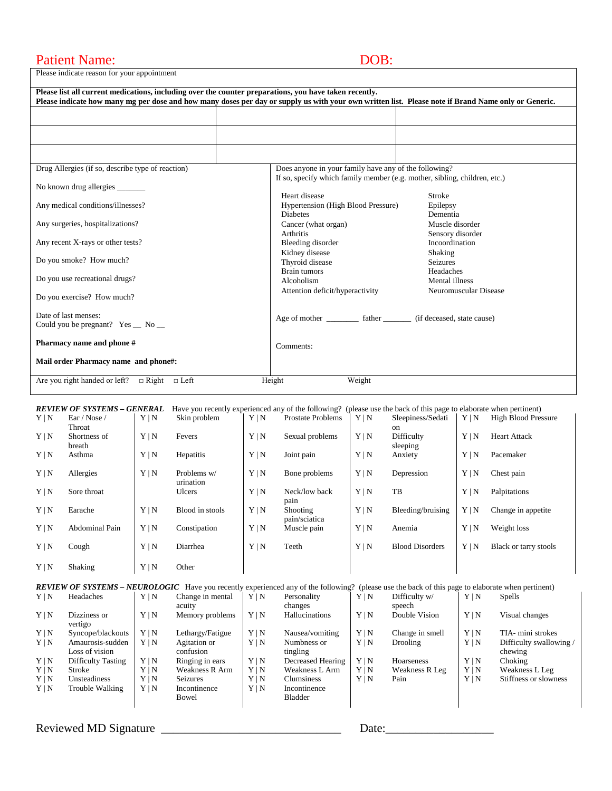#### Patient Name: DOB:

Please indicate reason for your appointment

| Please list all current medications, including over the counter preparations, you have taken recently.<br>Please indicate how many mg per dose and how many doses per day or supply us with your own written list. Please note if Brand Name only or Generic. |                                                                                                                                    |                                    |
|---------------------------------------------------------------------------------------------------------------------------------------------------------------------------------------------------------------------------------------------------------------|------------------------------------------------------------------------------------------------------------------------------------|------------------------------------|
|                                                                                                                                                                                                                                                               |                                                                                                                                    |                                    |
|                                                                                                                                                                                                                                                               |                                                                                                                                    |                                    |
|                                                                                                                                                                                                                                                               |                                                                                                                                    |                                    |
| Drug Allergies (if so, describe type of reaction)                                                                                                                                                                                                             | Does anyone in your family have any of the following?<br>If so, specify which family member (e.g. mother, sibling, children, etc.) |                                    |
| No known drug allergies                                                                                                                                                                                                                                       |                                                                                                                                    |                                    |
| Any medical conditions/illnesses?                                                                                                                                                                                                                             | Heart disease<br>Hypertension (High Blood Pressure)<br><b>Diabetes</b>                                                             | Stroke<br>Epilepsy<br>Dementia     |
| Any surgeries, hospitalizations?                                                                                                                                                                                                                              | Cancer (what organ)<br><b>Arthritis</b>                                                                                            | Muscle disorder                    |
| Any recent X-rays or other tests?                                                                                                                                                                                                                             | Bleeding disorder                                                                                                                  | Sensory disorder<br>Incoordination |
| Do you smoke? How much?                                                                                                                                                                                                                                       | Kidney disease<br>Thyroid disease                                                                                                  | Shaking<br><b>Seizures</b>         |
| Do you use recreational drugs?                                                                                                                                                                                                                                | <b>Brain tumors</b><br>Alcoholism                                                                                                  | Headaches<br>Mental illness        |
| Do you exercise? How much?                                                                                                                                                                                                                                    | Attention deficit/hyperactivity                                                                                                    | Neuromuscular Disease              |
| Date of last menses:<br>Could you be pregnant? $Yes$ No $\_\_$                                                                                                                                                                                                | Age of mother ____________ father __________ (if deceased, state cause)                                                            |                                    |
| Pharmacy name and phone #                                                                                                                                                                                                                                     | Comments:                                                                                                                          |                                    |
| Mail order Pharmacy name and phone#:                                                                                                                                                                                                                          |                                                                                                                                    |                                    |
| Are you right handed or left? $\Box$ Right<br>$\Box$ Left                                                                                                                                                                                                     | Weight<br>Height                                                                                                                   |                                    |

|            | REVIEW OF SYSTEMS – GENERAL |            | Have you recently experienced any of the following? (please use the back of this page to elaborate when pertinent) |            |                                  |            |                        |            |                            |
|------------|-----------------------------|------------|--------------------------------------------------------------------------------------------------------------------|------------|----------------------------------|------------|------------------------|------------|----------------------------|
| $Y \mid N$ | Ear / Nose /                | Y N        | Skin problem                                                                                                       | $Y \mid N$ | <b>Prostate Problems</b>         | $Y \mid N$ | Sleepiness/Sedati      | Y N        | <b>High Blood Pressure</b> |
|            | Throat                      |            |                                                                                                                    |            |                                  |            | <sub>on</sub>          |            |                            |
| Y N        | Shortness of<br>breath      | $Y \mid N$ | Fevers                                                                                                             | Y N        | Sexual problems                  | $Y \mid N$ | Difficulty<br>sleeping | Y N        | <b>Heart Attack</b>        |
| Y N        | Asthma                      | $Y \mid N$ | <b>Hepatitis</b>                                                                                                   | Y N        | Joint pain                       | Y N        | Anxiety                | Y N        | Pacemaker                  |
| Y N        | Allergies                   | Y N        | Problems w/<br>urination                                                                                           | Y N        | Bone problems                    | $Y \mid N$ | Depression             | $Y \mid N$ | Chest pain                 |
| Y N        | Sore throat                 |            | <b>Ulcers</b>                                                                                                      | $Y \mid N$ | Neck/low back<br>pain            | Y N        | <b>TB</b>              | Y N        | Palpitations               |
| Y N        | Earache                     | Y N        | Blood in stools                                                                                                    | Y N        | <b>Shooting</b><br>pain/sciatica | $Y \mid N$ | Bleeding/bruising      | Y N        | Change in appetite.        |
| Y N        | Abdominal Pain              | Y N        | Constipation                                                                                                       | Y N        | Muscle pain                      | Y N        | Anemia                 | Y N        | Weight loss                |
| $Y \mid N$ | Cough                       | $Y \mid N$ | Diarrhea                                                                                                           | Y N        | Teeth                            | $Y \mid N$ | <b>Blood Disorders</b> | $Y \mid N$ | Black or tarry stools      |
| Y N        | Shaking                     | $Y \mid N$ | Other                                                                                                              |            |                                  |            |                        |            |                            |

|            |                    |            |                       |     | <b>REVIEW OF SYSTEMS – NEUROLOGIC</b> Have you recently experienced any of the following? (please use the back of this page to elaborate when pertinent) |            |                 |     |                         |
|------------|--------------------|------------|-----------------------|-----|----------------------------------------------------------------------------------------------------------------------------------------------------------|------------|-----------------|-----|-------------------------|
| Y N        | Headaches          | Y N        | Change in mental      | Y N | Personality                                                                                                                                              | Y N        | Difficulty w/   | Y N | Spells                  |
|            |                    |            | acuity                |     | changes                                                                                                                                                  |            | speech          |     |                         |
| Y N        | Dizziness or       | $Y \mid N$ | Memory problems       | Y N | Hallucinations                                                                                                                                           | Y N        | Double Vision   | Y N | Visual changes          |
|            | vertigo            |            |                       |     |                                                                                                                                                          |            |                 |     |                         |
| Y N        | Syncope/blackouts  | Y N        | Lethargy/Fatigue      | Y N | Nausea/vomiting                                                                                                                                          | Y N        | Change in smell | Y N | TIA- mini strokes       |
| Y N        | Amaurosis-sudden   | Y N        | Agitation or          | Y N | Numbness or                                                                                                                                              | Y N        | Drooling        | Y N | Difficulty swallowing / |
|            | Loss of vision     |            | confusion             |     | tingling                                                                                                                                                 |            |                 |     | chewing                 |
| Y N        | Difficulty Tasting | Y N        | Ringing in ears       | Y N | Decreased Hearing                                                                                                                                        | Y N        | Hoarseness      | Y N | Choking                 |
| Y N        | Stroke             | Y N        | <b>Weakness R Arm</b> | Y N | Weakness L Arm                                                                                                                                           | Y N        | Weakness R Leg  | Y N | Weakness L Leg          |
| $Y \mid N$ | Unsteadiness       | Y N        | <b>Seizures</b>       | Y N | <b>Clumsiness</b>                                                                                                                                        | $Y \mid N$ | Pain            | Y N | Stiffness or slowness   |
| Y N        | Trouble Walking    | Y N        | Incontinence          | Y N | Incontinence                                                                                                                                             |            |                 |     |                         |
|            |                    |            | Bowel                 |     | Bladder                                                                                                                                                  |            |                 |     |                         |
|            |                    |            |                       |     |                                                                                                                                                          |            |                 |     |                         |

Reviewed MD Signature \_\_\_\_\_\_\_\_\_\_\_\_\_\_\_\_\_\_\_\_\_\_\_\_\_\_\_\_\_\_ Date:\_\_\_\_\_\_\_\_\_\_\_\_\_\_\_\_\_\_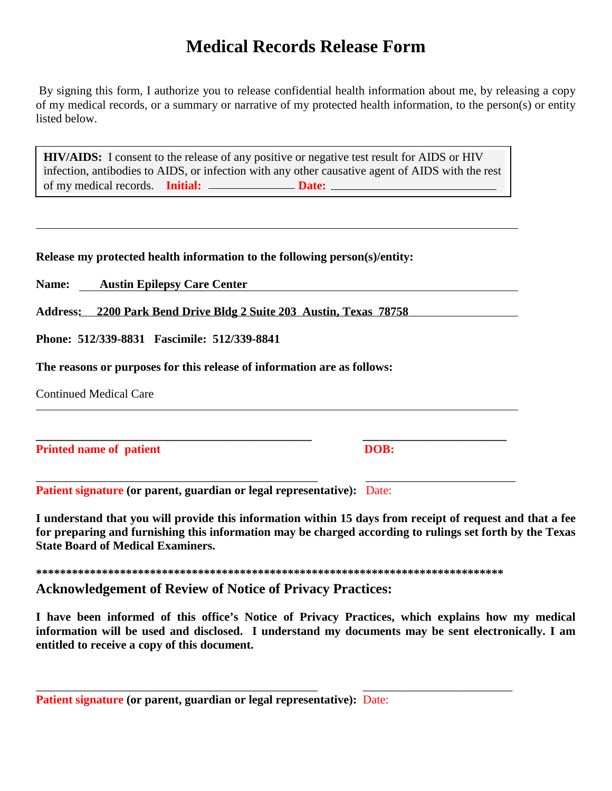## **Medical Records Release Form**

By signing this form, I authorize you to release confidential health information about me, by releasing a copy of my medical records, or a summary or narrative of my protected health information, to the person(s) or entity listed below.

of my medical records. **Initial:** \_\_\_\_\_\_\_\_\_\_\_\_\_\_\_\_**Date: HIV/AIDS:** I consent to the release of any positive or negative test result for AIDS or HIV infection, antibodies to AIDS, or infection with any other causative agent of AIDS with the rest

|  |  |  | Release my protected health information to the following person(s)/entity: |
|--|--|--|----------------------------------------------------------------------------|
|  |  |  |                                                                            |

**Name: Austin Epilepsy Care Center**

**Address: 2200 Park Bend Drive Bldg 2 Suite 203 Austin, Texas 78758**

**Phone: 512/339-8831 Fascimile: 512/339-8841**

**The reasons or purposes for this release of information are as follows:**

Continued Medical Care

**Printed name of patient DOB: DOB: DOB: DOB: DOB: DOB: DOB: DOB: DOB: DOB: DOB: DOB: DOB: DOB: DOB: DOB: DOB: DOB: DOB: DOB: DOB: DOB: DOB: DOB: DOB: DOB: DOB: DOB: D** 

\_\_\_\_\_\_\_\_\_\_\_\_\_\_\_\_\_\_\_\_\_\_\_\_\_\_\_\_\_\_\_\_\_\_\_\_\_\_\_\_\_\_\_\_\_\_\_ \_\_\_\_\_\_\_\_\_\_\_\_\_\_\_\_\_\_\_\_\_\_\_\_\_ **Patient signature (or parent, guardian or legal representative):** Date:

**I understand that you will provide this information within 15 days from receipt of request and that a fee for preparing and furnishing this information may be charged according to rulings set forth by the Texas State Board of Medical Examiners.**

**\*\*\*\*\*\*\*\*\*\*\*\*\*\*\*\*\*\*\*\*\*\*\*\*\*\*\*\*\*\*\*\*\*\*\*\*\*\*\*\*\*\*\*\*\*\*\*\*\*\*\*\*\*\*\*\*\*\*\*\*\*\*\*\*\*\*\*\*\*\*\*\*\*\*\*\*\*\***

\_\_\_\_\_\_\_\_\_\_\_\_\_\_\_\_\_\_\_\_\_\_\_\_\_\_\_\_\_\_\_\_\_\_\_\_\_\_\_\_\_\_\_\_\_\_\_ \_\_\_\_\_\_\_\_\_\_\_\_\_\_\_\_\_\_\_\_\_\_\_\_\_

**\_\_\_\_\_\_\_\_\_\_\_\_\_\_\_\_\_\_\_\_\_\_\_\_\_\_\_\_\_\_\_\_\_\_\_\_\_\_\_\_\_\_\_\_\_\_ \_\_\_\_\_\_\_\_\_\_\_\_\_\_\_\_\_\_\_\_\_\_\_\_**

**Acknowledgement of Review of Notice of Privacy Practices:**

**I have been informed of this office's Notice of Privacy Practices, which explains how my medical information will be used and disclosed. I understand my documents may be sent electronically. I am entitled to receive a copy of this document.**

|  |  | <b>Patient signature (or parent, guardian or legal representative):</b> Date: |  |
|--|--|-------------------------------------------------------------------------------|--|
|  |  |                                                                               |  |